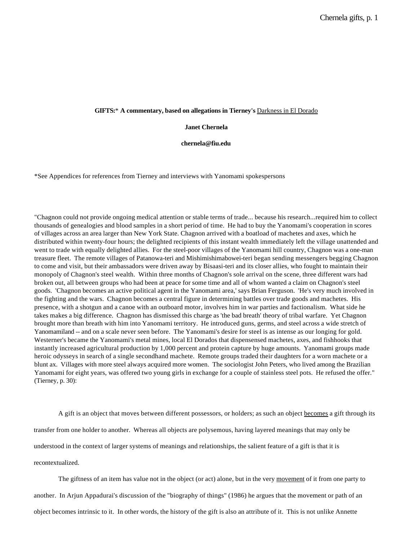#### **GIFTS:**\* **A commentary, based on allegations in Tierney's** Darkness in El Dorado

# **Janet Chernela**

**chernela@fiu.edu**

\*See Appendices for references from Tierney and interviews with Yanomami spokespersons

"Chagnon could not provide ongoing medical attention or stable terms of trade... because his research...required him to collect thousands of genealogies and blood samples in a short period of time. He had to buy the Yanomami's cooperation in scores of villages across an area larger than New York State. Chagnon arrived with a boatload of machetes and axes, which he distributed within twenty-four hours; the delighted recipients of this instant wealth immediately left the village unattended and went to trade with equally delighted allies. For the steel-poor villages of the Yanomami hill country, Chagnon was a one-man treasure fleet. The remote villages of Patanowa-teri and Mishimishimabowei-teri began sending messengers begging Chagnon to come and visit, but their ambassadors were driven away by Bisaasi-teri and its closer allies, who fought to maintain their monopoly of Chagnon's steel wealth. Within three months of Chagnon's sole arrival on the scene, three different wars had broken out, all between groups who had been at peace for some time and all of whom wanted a claim on Chagnon's steel goods. 'Chagnon becomes an active political agent in the Yanomami area,' says Brian Ferguson. 'He's very much involved in the fighting and the wars. Chagnon becomes a central figure in determining battles over trade goods and machetes. His presence, with a shotgun and a canoe with an outboard motor, involves him in war parties and factionalism. What side he takes makes a big difference. Chagnon has dismissed this charge as 'the bad breath' theory of tribal warfare. Yet Chagnon brought more than breath with him into Yanomami territory. He introduced guns, germs, and steel across a wide stretch of Yanomamiland -- and on a scale never seen before. The Yanomami's desire for steel is as intense as our longing for gold. Westerner's became the Yanomami's metal mines, local El Dorados that dispensensed machetes, axes, and fishhooks that instantly increased agricultural production by 1,000 percent and protein capture by huge amounts. Yanomami groups made heroic odysseys in search of a single secondhand machete. Remote groups traded their daughters for a worn machete or a blunt ax. Villages with more steel always acquired more women. The sociologist John Peters, who lived among the Brazilian Yanomami for eight years, was offered two young girls in exchange for a couple of stainless steel pots. He refused the offer." (Tierney, p. 30):

A gift is an object that moves between different possessors, or holders; as such an object becomes a gift through its transfer from one holder to another. Whereas all objects are polysemous, having layered meanings that may only be understood in the context of larger systems of meanings and relationships, the salient feature of a gift is that it is recontextualized.

The giftness of an item has value not in the object (or act) alone, but in the very movement of it from one party to another. In Arjun Appadurai's discussion of the "biography of things" (1986) he argues that the movement or path of an object becomes intrinsic to it. In other words, the history of the gift is also an attribute of it. This is not unlike Annette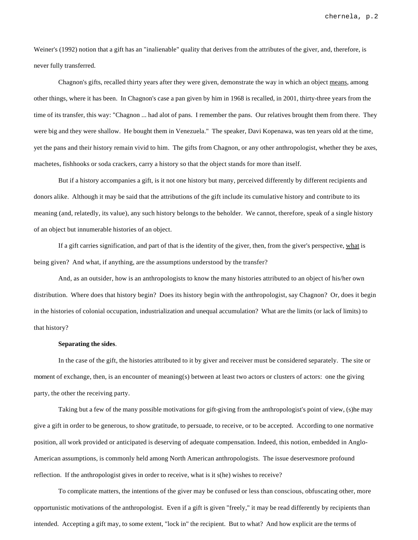chernela, p.2

Weiner's (1992) notion that a gift has an "inalienable" quality that derives from the attributes of the giver, and, therefore, is never fully transferred.

Chagnon's gifts, recalled thirty years after they were given, demonstrate the way in which an object means, among other things, where it has been. In Chagnon's case a pan given by him in 1968 is recalled, in 2001, thirty-three years from the time of its transfer, this way: "Chagnon ... had alot of pans. I remember the pans. Our relatives brought them from there. They were big and they were shallow. He bought them in Venezuela." The speaker, Davi Kopenawa, was ten years old at the time, yet the pans and their history remain vivid to him. The gifts from Chagnon, or any other anthropologist, whether they be axes, machetes, fishhooks or soda crackers, carry a history so that the object stands for more than itself.

But if a history accompanies a gift, is it not one history but many, perceived differently by different recipients and donors alike. Although it may be said that the attributions of the gift include its cumulative history and contribute to its meaning (and, relatedly, its value), any such history belongs to the beholder. We cannot, therefore, speak of a single history of an object but innumerable histories of an object.

If a gift carries signification, and part of that is the identity of the giver, then, from the giver's perspective, what is being given? And what, if anything, are the assumptions understood by the transfer?

And, as an outsider, how is an anthropologists to know the many histories attributed to an object of his/her own distribution. Where does that history begin? Does its history begin with the anthropologist, say Chagnon? Or, does it begin in the histories of colonial occupation, industrialization and unequal accumulation? What are the limits (or lack of limits) to that history?

### **Separating the sides**.

In the case of the gift, the histories attributed to it by giver and receiver must be considered separately. The site or moment of exchange, then, is an encounter of meaning(s) between at least two actors or clusters of actors: one the giving party, the other the receiving party.

Taking but a few of the many possible motivations for gift-giving from the anthropologist's point of view, (s)he may give a gift in order to be generous, to show gratitude, to persuade, to receive, or to be accepted. According to one normative position, all work provided or anticipated is deserving of adequate compensation. Indeed, this notion, embedded in Anglo-American assumptions, is commonly held among North American anthropologists. The issue deservesmore profound reflection. If the anthropologist gives in order to receive, what is it s(he) wishes to receive?

To complicate matters, the intentions of the giver may be confused or less than conscious, obfuscating other, more opportunistic motivations of the anthropologist. Even if a gift is given "freely," it may be read differently by recipients than intended. Accepting a gift may, to some extent, "lock in" the recipient. But to what? And how explicit are the terms of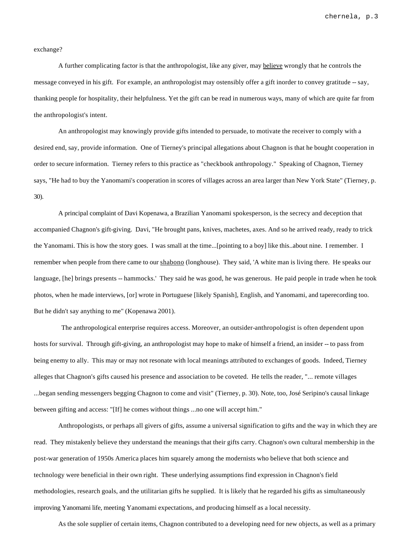chernela, p.3

exchange?

A further complicating factor is that the anthropologist, like any giver, may believe wrongly that he controls the message conveyed in his gift. For example, an anthropologist may ostensibly offer a gift inorder to convey gratitude -- say, thanking people for hospitality, their helpfulness. Yet the gift can be read in numerous ways, many of which are quite far from the anthropologist's intent.

An anthropologist may knowingly provide gifts intended to persuade, to motivate the receiver to comply with a desired end, say, provide information. One of Tierney's principal allegations about Chagnon is that he bought cooperation in order to secure information. Tierney refers to this practice as "checkbook anthropology." Speaking of Chagnon, Tierney says, "He had to buy the Yanomami's cooperation in scores of villages across an area larger than New York State" (Tierney, p. 30).

A principal complaint of Davi Kopenawa, a Brazilian Yanomami spokesperson, is the secrecy and deception that accompanied Chagnon's gift-giving. Davi, "He brought pans, knives, machetes, axes. And so he arrived ready, ready to trick the Yanomami. This is how the story goes. I was small at the time...[pointing to a boy] like this..about nine. I remember. I remember when people from there came to our shabono (longhouse). They said, 'A white man is living there. He speaks our language, [he] brings presents -- hammocks.' They said he was good, he was generous. He paid people in trade when he took photos, when he made interviews, [or] wrote in Portuguese [likely Spanish], English, and Yanomami, and taperecording too. But he didn't say anything to me" (Kopenawa 2001).

 The anthropological enterprise requires access. Moreover, an outsider-anthropologist is often dependent upon hosts for survival. Through gift-giving, an anthropologist may hope to make of himself a friend, an insider -- to pass from being enemy to ally. This may or may not resonate with local meanings attributed to exchanges of goods. Indeed, Tierney alleges that Chagnon's gifts caused his presence and association to be coveted. He tells the reader, "... remote villages ...began sending messengers begging Chagnon to come and visit" (Tierney, p. 30). Note, too, José Seripino's causal linkage between gifting and access: "[If] he comes without things ...no one will accept him."

Anthropologists, or perhaps all givers of gifts, assume a universal signification to gifts and the way in which they are read. They mistakenly believe they understand the meanings that their gifts carry. Chagnon's own cultural membership in the post-war generation of 1950s America places him squarely among the modernists who believe that both science and technology were beneficial in their own right. These underlying assumptions find expression in Chagnon's field methodologies, research goals, and the utilitarian gifts he supplied. It is likely that he regarded his gifts as simultaneously improving Yanomami life, meeting Yanomami expectations, and producing himself as a local necessity.

As the sole supplier of certain items, Chagnon contributed to a developing need for new objects, as well as a primary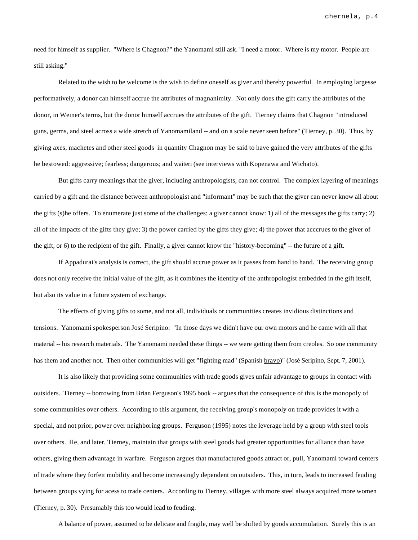need for himself as supplier. "Where is Chagnon?" the Yanomami still ask. "I need a motor. Where is my motor. People are still asking."

Related to the wish to be welcome is the wish to define oneself as giver and thereby powerful. In employing largesse performatively, a donor can himself accrue the attributes of magnanimity. Not only does the gift carry the attributes of the donor, in Weiner's terms, but the donor himself accrues the attributes of the gift. Tierney claims that Chagnon "introduced guns, germs, and steel across a wide stretch of Yanomamiland -- and on a scale never seen before" (Tierney, p. 30). Thus, by giving axes, machetes and other steel goods in quantity Chagnon may be said to have gained the very attributes of the gifts he bestowed: aggressive; fearless; dangerous; and waiteri (see interviews with Kopenawa and Wichato).

But gifts carry meanings that the giver, including anthropologists, can not control. The complex layering of meanings carried by a gift and the distance between anthropologist and "informant" may be such that the giver can never know all about the gifts (s)he offers. To enumerate just some of the challenges: a giver cannot know: 1) all of the messages the gifts carry; 2) all of the impacts of the gifts they give; 3) the power carried by the gifts they give; 4) the power that acccrues to the giver of the gift, or 6) to the recipient of the gift. Finally, a giver cannot know the "history-becoming" -- the future of a gift.

If Appadurai's analysis is correct, the gift should accrue power as it passes from hand to hand. The receiving group does not only receive the initial value of the gift, as it combines the identity of the anthropologist embedded in the gift itself, but also its value in a future system of exchange.

The effects of giving gifts to some, and not all, individuals or communities creates invidious distinctions and tensions. Yanomami spokesperson José Seripino: "In those days we didn't have our own motors and he came with all that material -- his research materials. The Yanomami needed these things -- we were getting them from creoles. So one community has them and another not. Then other communities will get "fighting mad" (Spanish bravo)" (José Seripino, Sept. 7, 2001).

It is also likely that providing some communities with trade goods gives unfair advantage to groups in contact with outsiders. Tierney -- borrowing from Brian Ferguson's 1995 book -- argues that the consequence of this is the monopoly of some communities over others. According to this argument, the receiving group's monopoly on trade provides it with a special, and not prior, power over neighboring groups. Ferguson (1995) notes the leverage held by a group with steel tools over others. He, and later, Tierney, maintain that groups with steel goods had greater opportunities for alliance than have others, giving them advantage in warfare. Ferguson argues that manufactured goods attract or, pull, Yanomami toward centers of trade where they forfeit mobility and become increasingly dependent on outsiders. This, in turn, leads to increased feuding between groups vying for acess to trade centers. According to Tierney, villages with more steel always acquired more women (Tierney, p. 30). Presumably this too would lead to feuding.

A balance of power, assumed to be delicate and fragile, may well be shifted by goods accumulation. Surely this is an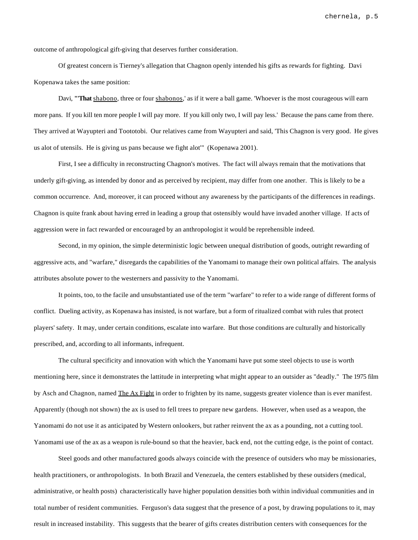outcome of anthropological gift-giving that deserves further consideration.

Of greatest concern is Tierney's allegation that Chagnon openly intended his gifts as rewards for fighting. Davi Kopenawa takes the same position:

Davi, "**That** shabono, three or four shabonos,' as if it were a ball game. 'Whoever is the most courageous will earn more pans. If you kill ten more people I will pay more. If you kill only two, I will pay less.' Because the pans came from there. They arrived at Wayupteri and Toototobi. Our relatives came from Wayupteri and said, 'This Chagnon is very good. He gives us alot of utensils. He is giving us pans because we fight alot'" (Kopenawa 2001).

First, I see a difficulty in reconstructing Chagnon's motives. The fact will always remain that the motivations that underly gift-giving, as intended by donor and as perceived by recipient, may differ from one another. This is likely to be a common occurrence. And, moreover, it can proceed without any awareness by the participants of the differences in readings. Chagnon is quite frank about having erred in leading a group that ostensibly would have invaded another village. If acts of aggression were in fact rewarded or encouraged by an anthropologist it would be reprehensible indeed.

Second, in my opinion, the simple deterministic logic between unequal distribution of goods, outright rewarding of aggressive acts, and "warfare," disregards the capabilities of the Yanomami to manage their own political affairs. The analysis attributes absolute power to the westerners and passivity to the Yanomami.

It points, too, to the facile and unsubstantiated use of the term "warfare" to refer to a wide range of different forms of conflict. Dueling activity, as Kopenawa has insisted, is not warfare, but a form of ritualized combat with rules that protect players' safety. It may, under certain conditions, escalate into warfare. But those conditions are culturally and historically prescribed, and, according to all informants, infrequent.

The cultural specificity and innovation with which the Yanomami have put some steel objects to use is worth mentioning here, since it demonstrates the lattitude in interpreting what might appear to an outsider as "deadly." The 1975 film by Asch and Chagnon, named The Ax Fight in order to frighten by its name, suggests greater violence than is ever manifest. Apparently (though not shown) the ax is used to fell trees to prepare new gardens. However, when used as a weapon, the Yanomami do not use it as anticipated by Western onlookers, but rather reinvent the ax as a pounding, not a cutting tool. Yanomami use of the ax as a weapon is rule-bound so that the heavier, back end, not the cutting edge, is the point of contact.

Steel goods and other manufactured goods always coincide with the presence of outsiders who may be missionaries, health practitioners, or anthropologists. In both Brazil and Venezuela, the centers established by these outsiders (medical, administrative, or health posts) characteristically have higher population densities both within individual communities and in total number of resident communities. Ferguson's data suggest that the presence of a post, by drawing populations to it, may result in increased instability. This suggests that the bearer of gifts creates distribution centers with consequences for the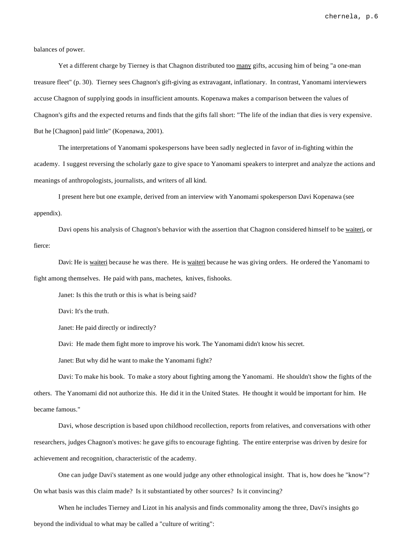balances of power.

Yet a different charge by Tierney is that Chagnon distributed too many gifts, accusing him of being "a one-man treasure fleet" (p. 30). Tierney sees Chagnon's gift-giving as extravagant, inflationary. In contrast, Yanomami interviewers accuse Chagnon of supplying goods in insufficient amounts. Kopenawa makes a comparison between the values of Chagnon's gifts and the expected returns and finds that the gifts fall short: "The life of the indian that dies is very expensive. But he [Chagnon] paid little" (Kopenawa, 2001).

The interpretations of Yanomami spokespersons have been sadly neglected in favor of in-fighting within the academy. I suggest reversing the scholarly gaze to give space to Yanomami speakers to interpret and analyze the actions and meanings of anthropologists, journalists, and writers of all kind.

I present here but one example, derived from an interview with Yanomami spokesperson Davi Kopenawa (see appendix).

Davi opens his analysis of Chagnon's behavior with the assertion that Chagnon considered himself to be waiteri, or fierce:

Davi: He is waiteri because he was there. He is waiteri because he was giving orders. He ordered the Yanomami to fight among themselves. He paid with pans, machetes, knives, fishooks.

Janet: Is this the truth or this is what is being said?

Davi: It's the truth.

Janet: He paid directly or indirectly?

Davi: He made them fight more to improve his work. The Yanomami didn't know his secret.

Janet: But why did he want to make the Yanomami fight?

Davi: To make his book. To make a story about fighting among the Yanomami. He shouldn't show the fights of the

others. The Yanomami did not authorize this. He did it in the United States. He thought it would be important for him. He became famous."

Davi, whose description is based upon childhood recollection, reports from relatives, and conversations with other researchers, judges Chagnon's motives: he gave gifts to encourage fighting. The entire enterprise was driven by desire for achievement and recognition, characteristic of the academy.

One can judge Davi's statement as one would judge any other ethnological insight. That is, how does he "know"? On what basis was this claim made? Is it substantiated by other sources? Is it convincing?

When he includes Tierney and Lizot in his analysis and finds commonality among the three, Davi's insights go beyond the individual to what may be called a "culture of writing":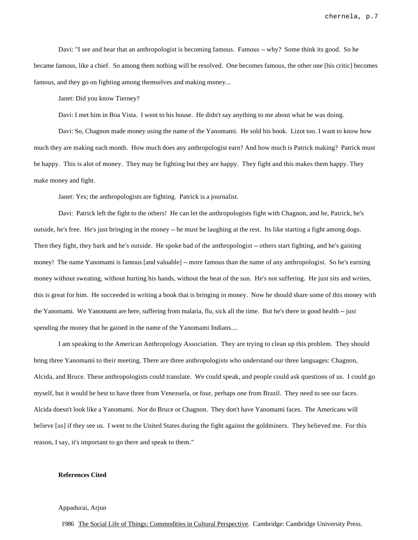chernela, p.7

Davi: "I see and hear that an anthropologist is becoming famous. Famous -- why? Some think its good. So he became famous, like a chief. So among them nothing will be resolved. One becomes famous, the other one [his critic] becomes famous, and they go on fighting among themselves and making money...

Janet: Did you know Tierney?

Davi: I met him in Boa Vista. I went to his house. He didn't say anything to me about what he was doing.

Davi: So, Chagnon made money using the name of the Yanomami. He sold his book. Lizot too. I want to know how much they are making each month. How much does any anthropologist earn? And how much is Patrick making? Patrick must be happy. This is alot of money. They may be fighting but they are happy. They fight and this makes them happy. They make money and fight.

Janet: Yes; the anthropologists are fighting. Patrick is a journalist.

Davi: Patrick left the fight to the others! He can let the anthropologists fight with Chagnon, and he, Patrick, he's outside, he's free. He's just bringing in the money -- he must be laughing at the rest. Its like starting a fight among dogs. Then they fight, they bark and he's outside. He spoke bad of the anthropologist -- others start fighting, and he's gaining money! The name Yanomami is famous [and valuable] -- more famous than the name of any anthropologist. So he's earning money without sweating, without hurting his hands, without the heat of the sun. He's not suffering. He just sits and writes, this is great for him. He succeeded in writing a book that is bringing in money. Now he should share some of this money with the Yanomami. We Yanomami are here, suffering from malaria, flu, sick all the time. But he's there in good health -- just spending the money that he gained in the name of the Yanomami Indians....

I am speaking to the American Anthropology Association. They are trying to clean up this problem. They should bring three Yanomami to their meeting. There are three anthropologists who understand our three languages: Chagnon, Alcida, and Bruce. These anthropologists could translate. We could speak, and people could ask questions of us. I could go myself, but it would be best to have three from Venezuela, or four, perhaps one from Brazil. They need to see our faces. Alcida doesn't look like a Yanomami. Nor do Bruce or Chagnon. They don't have Yanomami faces. The Americans will believe [us] if they see us. I went to the United States during the fight against the goldminers. They believed me. For this reason, I say, it's important to go there and speak to them."

#### **References Cited**

## Appadurai, Arjun

1986 The Social Life of Things: Commodities in Cultural Perspective. Cambridge: Cambridge University Press.